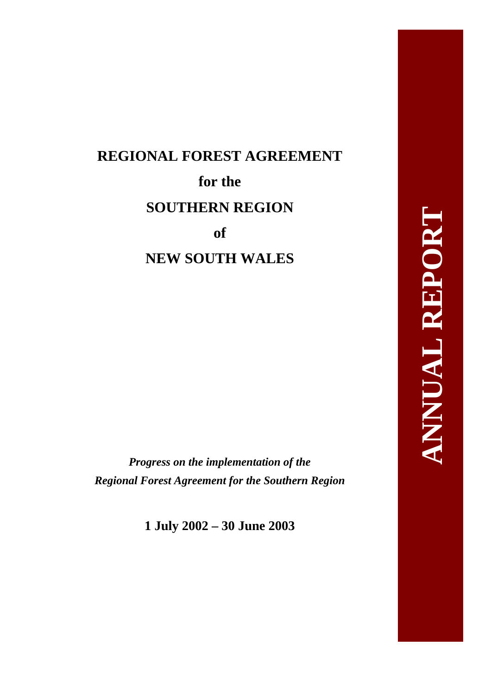# **REGIONAL FOREST AGREEMENT for the SOUTHERN REGION of NEW SOUTH WALES**

*Progress on the implementation of the Regional Forest Agreement for the Southern Region* 

**1 July 2002 – 30 June 2003**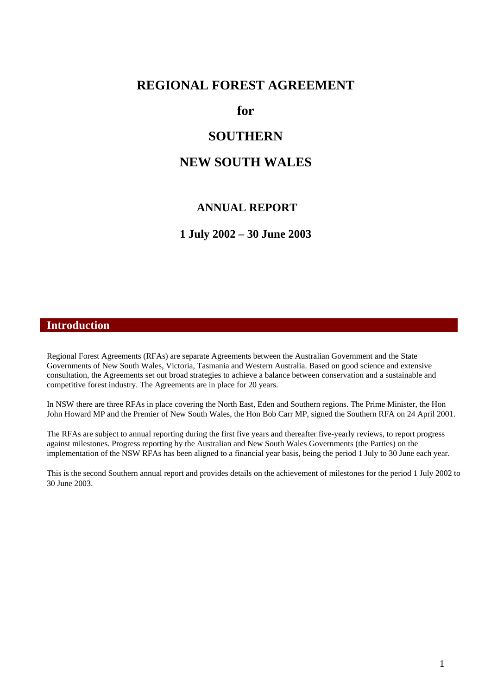### **REGIONAL FOREST AGREEMENT**

**for** 

## **SOUTHERN**

## **NEW SOUTH WALES**

#### **ANNUAL REPORT**

**1 July 2002 – 30 June 2003** 

#### **Introduction**

Regional Forest Agreements (RFAs) are separate Agreements between the Australian Government and the State Governments of New South Wales, Victoria, Tasmania and Western Australia. Based on good science and extensive consultation, the Agreements set out broad strategies to achieve a balance between conservation and a sustainable and competitive forest industry. The Agreements are in place for 20 years.

In NSW there are three RFAs in place covering the North East, Eden and Southern regions. The Prime Minister, the Hon John Howard MP and the Premier of New South Wales, the Hon Bob Carr MP, signed the Southern RFA on 24 April 2001.

The RFAs are subject to annual reporting during the first five years and thereafter five-yearly reviews, to report progress against milestones. Progress reporting by the Australian and New South Wales Governments (the Parties) on the implementation of the NSW RFAs has been aligned to a financial year basis, being the period 1 July to 30 June each year.

This is the second Southern annual report and provides details on the achievement of milestones for the period 1 July 2002 to 30 June 2003.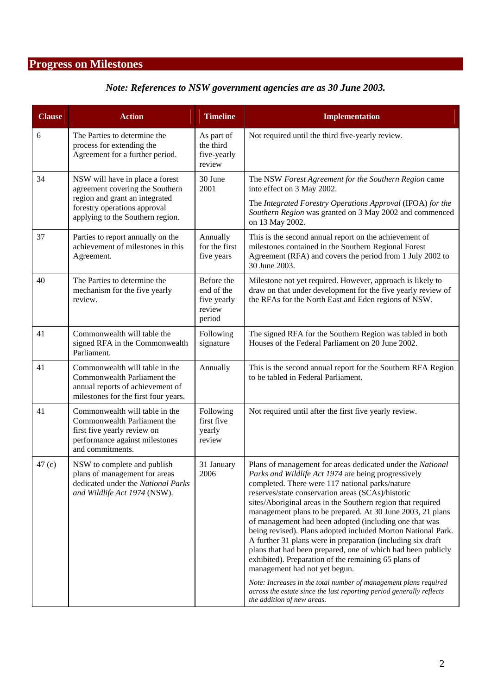# **Progress on Milestones**

## *Note: References to NSW government agencies are as 30 June 2003.*

| <b>Clause</b>     | <b>Action</b>                                                                                                                                      | <b>Timeline</b>                                             | Implementation                                                                                                                                                                                                                                                                                                                                                                                                                                                                                                                                                                                                                                                                                                                                                                                                                                                                     |
|-------------------|----------------------------------------------------------------------------------------------------------------------------------------------------|-------------------------------------------------------------|------------------------------------------------------------------------------------------------------------------------------------------------------------------------------------------------------------------------------------------------------------------------------------------------------------------------------------------------------------------------------------------------------------------------------------------------------------------------------------------------------------------------------------------------------------------------------------------------------------------------------------------------------------------------------------------------------------------------------------------------------------------------------------------------------------------------------------------------------------------------------------|
| 6                 | The Parties to determine the<br>process for extending the<br>Agreement for a further period.                                                       | As part of<br>the third<br>five-yearly<br>review            | Not required until the third five-yearly review.                                                                                                                                                                                                                                                                                                                                                                                                                                                                                                                                                                                                                                                                                                                                                                                                                                   |
| 34                | NSW will have in place a forest<br>agreement covering the Southern                                                                                 | 30 June<br>2001                                             | The NSW Forest Agreement for the Southern Region came<br>into effect on 3 May 2002.                                                                                                                                                                                                                                                                                                                                                                                                                                                                                                                                                                                                                                                                                                                                                                                                |
|                   | region and grant an integrated<br>forestry operations approval<br>applying to the Southern region.                                                 |                                                             | The Integrated Forestry Operations Approval (IFOA) for the<br>Southern Region was granted on 3 May 2002 and commenced<br>on 13 May 2002.                                                                                                                                                                                                                                                                                                                                                                                                                                                                                                                                                                                                                                                                                                                                           |
| 37                | Parties to report annually on the<br>achievement of milestones in this<br>Agreement.                                                               | Annually<br>for the first<br>five years                     | This is the second annual report on the achievement of<br>milestones contained in the Southern Regional Forest<br>Agreement (RFA) and covers the period from 1 July 2002 to<br>30 June 2003.                                                                                                                                                                                                                                                                                                                                                                                                                                                                                                                                                                                                                                                                                       |
| 40                | The Parties to determine the<br>mechanism for the five yearly<br>review.                                                                           | Before the<br>end of the<br>five yearly<br>review<br>period | Milestone not yet required. However, approach is likely to<br>draw on that under development for the five yearly review of<br>the RFAs for the North East and Eden regions of NSW.                                                                                                                                                                                                                                                                                                                                                                                                                                                                                                                                                                                                                                                                                                 |
| 41                | Commonwealth will table the<br>signed RFA in the Commonwealth<br>Parliament.                                                                       | Following<br>signature                                      | The signed RFA for the Southern Region was tabled in both<br>Houses of the Federal Parliament on 20 June 2002.                                                                                                                                                                                                                                                                                                                                                                                                                                                                                                                                                                                                                                                                                                                                                                     |
| 41                | Commonwealth will table in the<br>Commonwealth Parliament the<br>annual reports of achievement of<br>milestones for the first four years.          | Annually                                                    | This is the second annual report for the Southern RFA Region<br>to be tabled in Federal Parliament.                                                                                                                                                                                                                                                                                                                                                                                                                                                                                                                                                                                                                                                                                                                                                                                |
| 41                | Commonwealth will table in the<br>Commonwealth Parliament the<br>first five yearly review on<br>performance against milestones<br>and commitments. | Following<br>first five<br>yearly<br>review                 | Not required until after the first five yearly review.                                                                                                                                                                                                                                                                                                                                                                                                                                                                                                                                                                                                                                                                                                                                                                                                                             |
| 47 <sub>(c)</sub> | NSW to complete and publish<br>plans of management for areas<br>dedicated under the National Parks<br>and Wildlife Act 1974 (NSW).                 | 31 January<br>2006                                          | Plans of management for areas dedicated under the National<br>Parks and Wildlife Act 1974 are being progressively<br>completed. There were 117 national parks/nature<br>reserves/state conservation areas (SCAs)/historic<br>sites/Aboriginal areas in the Southern region that required<br>management plans to be prepared. At 30 June 2003, 21 plans<br>of management had been adopted (including one that was<br>being revised). Plans adopted included Morton National Park.<br>A further 31 plans were in preparation (including six draft<br>plans that had been prepared, one of which had been publicly<br>exhibited). Preparation of the remaining 65 plans of<br>management had not yet begun.<br>Note: Increases in the total number of management plans required<br>across the estate since the last reporting period generally reflects<br>the addition of new areas. |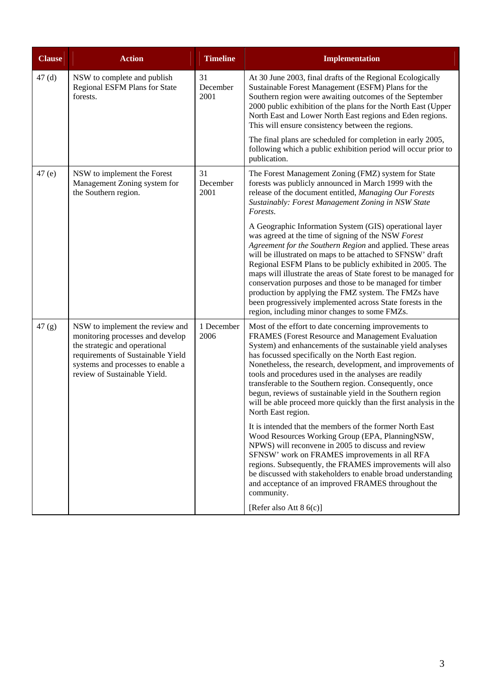| <b>Clause</b> | <b>Action</b>                                                                                                                                                                                                  | <b>Timeline</b>        | <b>Implementation</b>                                                                                                                                                                                                                                                                                                                                                                                                                                                                                                                                                                                          |
|---------------|----------------------------------------------------------------------------------------------------------------------------------------------------------------------------------------------------------------|------------------------|----------------------------------------------------------------------------------------------------------------------------------------------------------------------------------------------------------------------------------------------------------------------------------------------------------------------------------------------------------------------------------------------------------------------------------------------------------------------------------------------------------------------------------------------------------------------------------------------------------------|
| 47(d)         | NSW to complete and publish<br>Regional ESFM Plans for State<br>forests.                                                                                                                                       | 31<br>December<br>2001 | At 30 June 2003, final drafts of the Regional Ecologically<br>Sustainable Forest Management (ESFM) Plans for the<br>Southern region were awaiting outcomes of the September<br>2000 public exhibition of the plans for the North East (Upper<br>North East and Lower North East regions and Eden regions.<br>This will ensure consistency between the regions.                                                                                                                                                                                                                                                 |
|               |                                                                                                                                                                                                                |                        | The final plans are scheduled for completion in early 2005,<br>following which a public exhibition period will occur prior to<br>publication.                                                                                                                                                                                                                                                                                                                                                                                                                                                                  |
| 47(e)         | NSW to implement the Forest<br>Management Zoning system for<br>the Southern region.                                                                                                                            | 31<br>December<br>2001 | The Forest Management Zoning (FMZ) system for State<br>forests was publicly announced in March 1999 with the<br>release of the document entitled, Managing Our Forests<br>Sustainably: Forest Management Zoning in NSW State<br>Forests.                                                                                                                                                                                                                                                                                                                                                                       |
|               |                                                                                                                                                                                                                |                        | A Geographic Information System (GIS) operational layer<br>was agreed at the time of signing of the NSW Forest<br>Agreement for the Southern Region and applied. These areas<br>will be illustrated on maps to be attached to SFNSW' draft<br>Regional ESFM Plans to be publicly exhibited in 2005. The<br>maps will illustrate the areas of State forest to be managed for<br>conservation purposes and those to be managed for timber<br>production by applying the FMZ system. The FMZs have<br>been progressively implemented across State forests in the<br>region, including minor changes to some FMZs. |
| 47 (g)        | NSW to implement the review and<br>monitoring processes and develop<br>the strategic and operational<br>requirements of Sustainable Yield<br>systems and processes to enable a<br>review of Sustainable Yield. | 1 December<br>2006     | Most of the effort to date concerning improvements to<br>FRAMES (Forest Resource and Management Evaluation<br>System) and enhancements of the sustainable yield analyses<br>has focussed specifically on the North East region.<br>Nonetheless, the research, development, and improvements of<br>tools and procedures used in the analyses are readily<br>transferable to the Southern region. Consequently, once<br>begun, reviews of sustainable yield in the Southern region<br>will be able proceed more quickly than the first analysis in the<br>North East region.                                     |
|               |                                                                                                                                                                                                                |                        | It is intended that the members of the former North East<br>Wood Resources Working Group (EPA, PlanningNSW,<br>NPWS) will reconvene in 2005 to discuss and review<br>SFNSW' work on FRAMES improvements in all RFA<br>regions. Subsequently, the FRAMES improvements will also<br>be discussed with stakeholders to enable broad understanding<br>and acceptance of an improved FRAMES throughout the<br>community.<br>[Refer also Att 8 6(c)]                                                                                                                                                                 |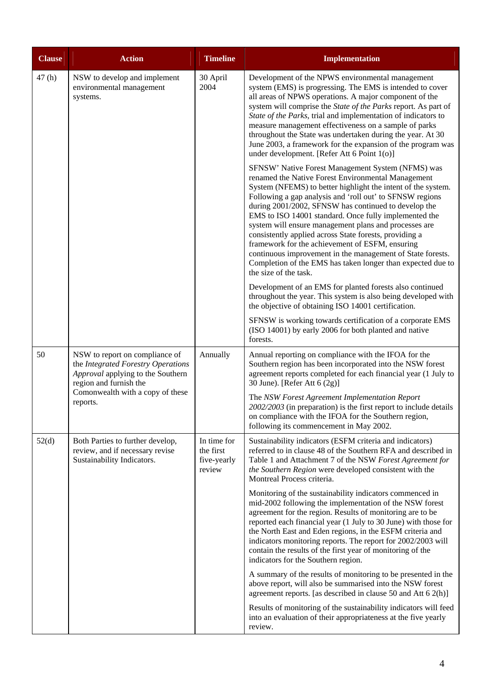| <b>Clause</b> | <b>Action</b>                                                                                                                                                                       | <b>Timeline</b>                                   | <b>Implementation</b>                                                                                                                                                                                                                                                                                                                                                                                                                                                                                                                                                                                                                                                            |
|---------------|-------------------------------------------------------------------------------------------------------------------------------------------------------------------------------------|---------------------------------------------------|----------------------------------------------------------------------------------------------------------------------------------------------------------------------------------------------------------------------------------------------------------------------------------------------------------------------------------------------------------------------------------------------------------------------------------------------------------------------------------------------------------------------------------------------------------------------------------------------------------------------------------------------------------------------------------|
| 47(h)         | NSW to develop and implement<br>environmental management<br>systems.                                                                                                                | 30 April<br>2004                                  | Development of the NPWS environmental management<br>system (EMS) is progressing. The EMS is intended to cover<br>all areas of NPWS operations. A major component of the<br>system will comprise the State of the Parks report. As part of<br>State of the Parks, trial and implementation of indicators to<br>measure management effectiveness on a sample of parks<br>throughout the State was undertaken during the year. At 30<br>June 2003, a framework for the expansion of the program was<br>under development. [Refer Att 6 Point 1(o)]                                                                                                                                  |
|               |                                                                                                                                                                                     |                                                   | SFNSW' Native Forest Management System (NFMS) was<br>renamed the Native Forest Environmental Management<br>System (NFEMS) to better highlight the intent of the system.<br>Following a gap analysis and 'roll out' to SFNSW regions<br>during 2001/2002, SFNSW has continued to develop the<br>EMS to ISO 14001 standard. Once fully implemented the<br>system will ensure management plans and processes are<br>consistently applied across State forests, providing a<br>framework for the achievement of ESFM, ensuring<br>continuous improvement in the management of State forests.<br>Completion of the EMS has taken longer than expected due to<br>the size of the task. |
|               |                                                                                                                                                                                     |                                                   | Development of an EMS for planted forests also continued<br>throughout the year. This system is also being developed with<br>the objective of obtaining ISO 14001 certification.                                                                                                                                                                                                                                                                                                                                                                                                                                                                                                 |
|               |                                                                                                                                                                                     |                                                   | SFNSW is working towards certification of a corporate EMS<br>(ISO 14001) by early 2006 for both planted and native<br>forests.                                                                                                                                                                                                                                                                                                                                                                                                                                                                                                                                                   |
| 50            | NSW to report on compliance of<br>the Integrated Forestry Operations<br>Approval applying to the Southern<br>region and furnish the<br>Comonwealth with a copy of these<br>reports. | Annually                                          | Annual reporting on compliance with the IFOA for the<br>Southern region has been incorporated into the NSW forest<br>agreement reports completed for each financial year (1 July to<br>30 June). [Refer Att 6 (2g)]                                                                                                                                                                                                                                                                                                                                                                                                                                                              |
|               |                                                                                                                                                                                     |                                                   | The NSW Forest Agreement Implementation Report<br>2002/2003 (in preparation) is the first report to include details<br>on compliance with the IFOA for the Southern region,<br>following its commencement in May 2002.                                                                                                                                                                                                                                                                                                                                                                                                                                                           |
| 52(d)         | Both Parties to further develop,<br>review, and if necessary revise<br>Sustainability Indicators.                                                                                   | In time for<br>the first<br>five-yearly<br>review | Sustainability indicators (ESFM criteria and indicators)<br>referred to in clause 48 of the Southern RFA and described in<br>Table 1 and Attachment 7 of the NSW Forest Agreement for<br>the Southern Region were developed consistent with the<br>Montreal Process criteria.                                                                                                                                                                                                                                                                                                                                                                                                    |
|               |                                                                                                                                                                                     |                                                   | Monitoring of the sustainability indicators commenced in<br>mid-2002 following the implementation of the NSW forest<br>agreement for the region. Results of monitoring are to be<br>reported each financial year (1 July to 30 June) with those for<br>the North East and Eden regions, in the ESFM criteria and<br>indicators monitoring reports. The report for 2002/2003 will<br>contain the results of the first year of monitoring of the<br>indicators for the Southern region.                                                                                                                                                                                            |
|               |                                                                                                                                                                                     |                                                   | A summary of the results of monitoring to be presented in the<br>above report, will also be summarised into the NSW forest<br>agreement reports. [as described in clause 50 and Att 6 2(h)]                                                                                                                                                                                                                                                                                                                                                                                                                                                                                      |
|               |                                                                                                                                                                                     |                                                   | Results of monitoring of the sustainability indicators will feed<br>into an evaluation of their appropriateness at the five yearly<br>review.                                                                                                                                                                                                                                                                                                                                                                                                                                                                                                                                    |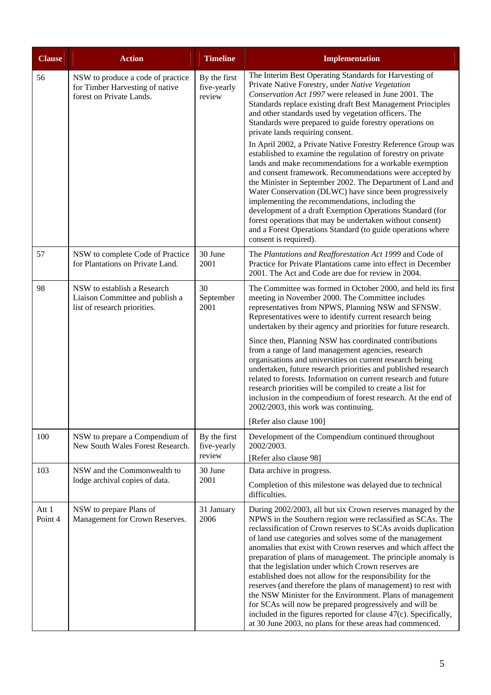| <b>Clause</b>    | <b>Action</b>                                                                                    | <b>Timeline</b>                       | <b>Implementation</b>                                                                                                                                                                                                                                                                                                                                                                                                                                                                                                                                                                                                                                                                                                                                                                                                                                                                                                                                                                                                                         |
|------------------|--------------------------------------------------------------------------------------------------|---------------------------------------|-----------------------------------------------------------------------------------------------------------------------------------------------------------------------------------------------------------------------------------------------------------------------------------------------------------------------------------------------------------------------------------------------------------------------------------------------------------------------------------------------------------------------------------------------------------------------------------------------------------------------------------------------------------------------------------------------------------------------------------------------------------------------------------------------------------------------------------------------------------------------------------------------------------------------------------------------------------------------------------------------------------------------------------------------|
| 56               | NSW to produce a code of practice<br>for Timber Harvesting of native<br>forest on Private Lands. | By the first<br>five-yearly<br>review | The Interim Best Operating Standards for Harvesting of<br>Private Native Forestry, under Native Vegetation<br>Conservation Act 1997 were released in June 2001. The<br>Standards replace existing draft Best Management Principles<br>and other standards used by vegetation officers. The<br>Standards were prepared to guide forestry operations on<br>private lands requiring consent.<br>In April 2002, a Private Native Forestry Reference Group was<br>established to examine the regulation of forestry on private<br>lands and make recommendations for a workable exemption<br>and consent framework. Recommendations were accepted by<br>the Minister in September 2002. The Department of Land and<br>Water Conservation (DLWC) have since been progressively<br>implementing the recommendations, including the<br>development of a draft Exemption Operations Standard (for<br>forest operations that may be undertaken without consent)<br>and a Forest Operations Standard (to guide operations where<br>consent is required). |
| 57               | NSW to complete Code of Practice<br>for Plantations on Private Land.                             | 30 June<br>2001                       | The Plantations and Reafforestation Act 1999 and Code of<br>Practice for Private Plantations came into effect in December<br>2001. The Act and Code are due for review in 2004.                                                                                                                                                                                                                                                                                                                                                                                                                                                                                                                                                                                                                                                                                                                                                                                                                                                               |
| 98               | NSW to establish a Research<br>Liaison Committee and publish a<br>list of research priorities.   | 30<br>September<br>2001               | The Committee was formed in October 2000, and held its first<br>meeting in November 2000. The Committee includes<br>representatives from NPWS, Planning NSW and SFNSW.<br>Representatives were to identify current research being<br>undertaken by their agency and priorities for future research.<br>Since then, Planning NSW has coordinated contributions<br>from a range of land management agencies, research<br>organisations and universities on current research being<br>undertaken, future research priorities and published research<br>related to forests. Information on current research and future<br>research priorities will be compiled to create a list for<br>inclusion in the compendium of forest research. At the end of<br>2002/2003, this work was continuing.<br>[Refer also clause 100]                                                                                                                                                                                                                           |
| 100              | NSW to prepare a Compendium of<br>New South Wales Forest Research.                               | By the first<br>five-yearly<br>review | Development of the Compendium continued throughout<br>2002/2003.<br>[Refer also clause 98]                                                                                                                                                                                                                                                                                                                                                                                                                                                                                                                                                                                                                                                                                                                                                                                                                                                                                                                                                    |
| 103              | NSW and the Commonwealth to<br>lodge archival copies of data.                                    | 30 June<br>2001                       | Data archive in progress.<br>Completion of this milestone was delayed due to technical<br>difficulties.                                                                                                                                                                                                                                                                                                                                                                                                                                                                                                                                                                                                                                                                                                                                                                                                                                                                                                                                       |
| Att 1<br>Point 4 | NSW to prepare Plans of<br>Management for Crown Reserves.                                        | 31 January<br>2006                    | During 2002/2003, all but six Crown reserves managed by the<br>NPWS in the Southern region were reclassified as SCAs. The<br>reclassification of Crown reserves to SCAs avoids duplication<br>of land use categories and solves some of the management<br>anomalies that exist with Crown reserves and which affect the<br>preparation of plans of management. The principle anomaly is<br>that the legislation under which Crown reserves are<br>established does not allow for the responsibility for the<br>reserves (and therefore the plans of management) to rest with<br>the NSW Minister for the Environment. Plans of management<br>for SCAs will now be prepared progressively and will be<br>included in the figures reported for clause 47(c). Specifically,<br>at 30 June 2003, no plans for these areas had commenced.                                                                                                                                                                                                          |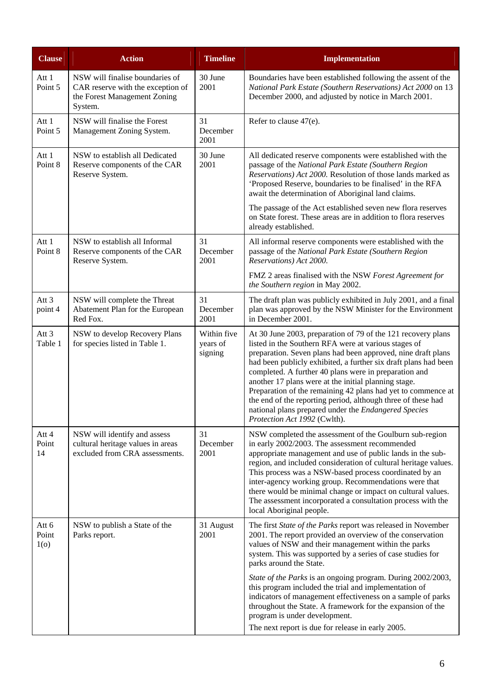| <b>Clause</b>                    | <b>Action</b>                                                                                                   | <b>Timeline</b>                    | <b>Implementation</b>                                                                                                                                                                                                                                                                                                                                                                                                                                                                                                                                                                            |
|----------------------------------|-----------------------------------------------------------------------------------------------------------------|------------------------------------|--------------------------------------------------------------------------------------------------------------------------------------------------------------------------------------------------------------------------------------------------------------------------------------------------------------------------------------------------------------------------------------------------------------------------------------------------------------------------------------------------------------------------------------------------------------------------------------------------|
| Att 1<br>Point 5                 | NSW will finalise boundaries of<br>CAR reserve with the exception of<br>the Forest Management Zoning<br>System. | 30 June<br>2001                    | Boundaries have been established following the assent of the<br>National Park Estate (Southern Reservations) Act 2000 on 13<br>December 2000, and adjusted by notice in March 2001.                                                                                                                                                                                                                                                                                                                                                                                                              |
| Att 1<br>Point 5                 | NSW will finalise the Forest<br>Management Zoning System.                                                       | 31<br>December<br>2001             | Refer to clause 47(e).                                                                                                                                                                                                                                                                                                                                                                                                                                                                                                                                                                           |
| Att 1<br>Point 8                 | NSW to establish all Dedicated<br>Reserve components of the CAR<br>Reserve System.                              | 30 June<br>2001                    | All dedicated reserve components were established with the<br>passage of the National Park Estate (Southern Region<br>Reservations) Act 2000. Resolution of those lands marked as<br>'Proposed Reserve, boundaries to be finalised' in the RFA<br>await the determination of Aboriginal land claims.                                                                                                                                                                                                                                                                                             |
|                                  |                                                                                                                 |                                    | The passage of the Act established seven new flora reserves<br>on State forest. These areas are in addition to flora reserves<br>already established.                                                                                                                                                                                                                                                                                                                                                                                                                                            |
| Att 1<br>Point 8                 | NSW to establish all Informal<br>Reserve components of the CAR<br>Reserve System.                               | 31<br>December<br>2001             | All informal reserve components were established with the<br>passage of the National Park Estate (Southern Region<br>Reservations) Act 2000.                                                                                                                                                                                                                                                                                                                                                                                                                                                     |
|                                  |                                                                                                                 |                                    | FMZ 2 areas finalised with the NSW Forest Agreement for<br>the Southern region in May 2002.                                                                                                                                                                                                                                                                                                                                                                                                                                                                                                      |
| Att 3<br>point 4                 | NSW will complete the Threat<br>Abatement Plan for the European<br>Red Fox.                                     | 31<br>December<br>2001             | The draft plan was publicly exhibited in July 2001, and a final<br>plan was approved by the NSW Minister for the Environment<br>in December 2001.                                                                                                                                                                                                                                                                                                                                                                                                                                                |
| Att 3<br>Table 1                 | NSW to develop Recovery Plans<br>for species listed in Table 1.                                                 | Within five<br>years of<br>signing | At 30 June 2003, preparation of 79 of the 121 recovery plans<br>listed in the Southern RFA were at various stages of<br>preparation. Seven plans had been approved, nine draft plans<br>had been publicly exhibited, a further six draft plans had been<br>completed. A further 40 plans were in preparation and<br>another 17 plans were at the initial planning stage.<br>Preparation of the remaining 42 plans had yet to commence at<br>the end of the reporting period, although three of these had<br>national plans prepared under the Endangered Species<br>Protection Act 1992 (Cwlth). |
| Att 4<br>Point<br>14             | NSW will identify and assess<br>cultural heritage values in areas<br>excluded from CRA assessments.             | 31<br>December<br>2001             | NSW completed the assessment of the Goulburn sub-region<br>in early 2002/2003. The assessment recommended<br>appropriate management and use of public lands in the sub-<br>region, and included consideration of cultural heritage values.<br>This process was a NSW-based process coordinated by an<br>inter-agency working group. Recommendations were that<br>there would be minimal change or impact on cultural values.<br>The assessment incorporated a consultation process with the<br>local Aboriginal people.                                                                          |
| Att 6<br>Point<br>1 <sub>0</sub> | NSW to publish a State of the<br>Parks report.                                                                  | 31 August<br>2001                  | The first State of the Parks report was released in November<br>2001. The report provided an overview of the conservation<br>values of NSW and their management within the parks<br>system. This was supported by a series of case studies for<br>parks around the State.<br>State of the Parks is an ongoing program. During 2002/2003,<br>this program included the trial and implementation of<br>indicators of management effectiveness on a sample of parks<br>throughout the State. A framework for the expansion of the<br>program is under development.                                  |
|                                  |                                                                                                                 |                                    | The next report is due for release in early 2005.                                                                                                                                                                                                                                                                                                                                                                                                                                                                                                                                                |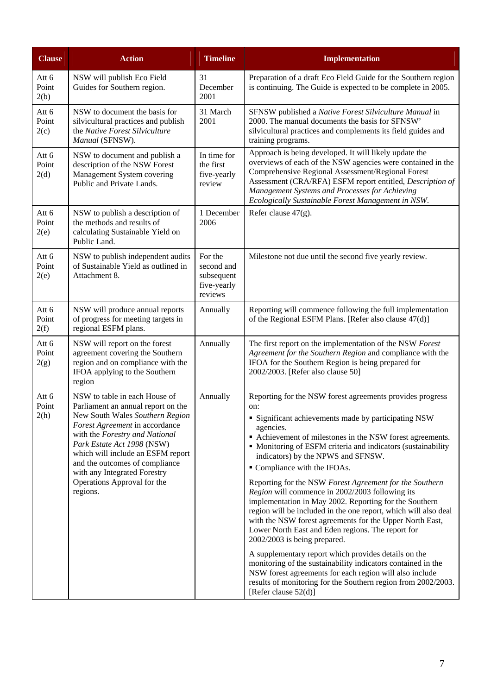| <b>Clause</b>          | <b>Action</b>                                                                                                                                                                                                                                                                                                                                              | <b>Timeline</b>                                               | Implementation                                                                                                                                                                                                                                                                                                                                                                                                                                                                                                                                                                                                                                                                                                                                                                                                                                                                                                                                                                                                   |
|------------------------|------------------------------------------------------------------------------------------------------------------------------------------------------------------------------------------------------------------------------------------------------------------------------------------------------------------------------------------------------------|---------------------------------------------------------------|------------------------------------------------------------------------------------------------------------------------------------------------------------------------------------------------------------------------------------------------------------------------------------------------------------------------------------------------------------------------------------------------------------------------------------------------------------------------------------------------------------------------------------------------------------------------------------------------------------------------------------------------------------------------------------------------------------------------------------------------------------------------------------------------------------------------------------------------------------------------------------------------------------------------------------------------------------------------------------------------------------------|
| Att 6<br>Point<br>2(b) | NSW will publish Eco Field<br>Guides for Southern region.                                                                                                                                                                                                                                                                                                  | 31<br>December<br>2001                                        | Preparation of a draft Eco Field Guide for the Southern region<br>is continuing. The Guide is expected to be complete in 2005.                                                                                                                                                                                                                                                                                                                                                                                                                                                                                                                                                                                                                                                                                                                                                                                                                                                                                   |
| Att 6<br>Point<br>2(c) | NSW to document the basis for<br>silvicultural practices and publish<br>the Native Forest Silviculture<br>Manual (SFNSW).                                                                                                                                                                                                                                  | 31 March<br>2001                                              | SFNSW published a Native Forest Silviculture Manual in<br>2000. The manual documents the basis for SFNSW'<br>silvicultural practices and complements its field guides and<br>training programs.                                                                                                                                                                                                                                                                                                                                                                                                                                                                                                                                                                                                                                                                                                                                                                                                                  |
| Att 6<br>Point<br>2(d) | NSW to document and publish a<br>description of the NSW Forest<br>Management System covering<br>Public and Private Lands.                                                                                                                                                                                                                                  | In time for<br>the first<br>five-yearly<br>review             | Approach is being developed. It will likely update the<br>overviews of each of the NSW agencies were contained in the<br>Comprehensive Regional Assessment/Regional Forest<br>Assessment (CRA/RFA) ESFM report entitled, Description of<br>Management Systems and Processes for Achieving<br>Ecologically Sustainable Forest Management in NSW.                                                                                                                                                                                                                                                                                                                                                                                                                                                                                                                                                                                                                                                                  |
| Att 6<br>Point<br>2(e) | NSW to publish a description of<br>the methods and results of<br>calculating Sustainable Yield on<br>Public Land.                                                                                                                                                                                                                                          | 1 December<br>2006                                            | Refer clause $47(g)$ .                                                                                                                                                                                                                                                                                                                                                                                                                                                                                                                                                                                                                                                                                                                                                                                                                                                                                                                                                                                           |
| Att 6<br>Point<br>2(e) | NSW to publish independent audits<br>of Sustainable Yield as outlined in<br>Attachment 8.                                                                                                                                                                                                                                                                  | For the<br>second and<br>subsequent<br>five-yearly<br>reviews | Milestone not due until the second five yearly review.                                                                                                                                                                                                                                                                                                                                                                                                                                                                                                                                                                                                                                                                                                                                                                                                                                                                                                                                                           |
| Att 6<br>Point<br>2(f) | NSW will produce annual reports<br>of progress for meeting targets in<br>regional ESFM plans.                                                                                                                                                                                                                                                              | Annually                                                      | Reporting will commence following the full implementation<br>of the Regional ESFM Plans. [Refer also clause 47(d)]                                                                                                                                                                                                                                                                                                                                                                                                                                                                                                                                                                                                                                                                                                                                                                                                                                                                                               |
| Att 6<br>Point<br>2(g) | NSW will report on the forest<br>agreement covering the Southern<br>region and on compliance with the<br>IFOA applying to the Southern<br>region                                                                                                                                                                                                           | Annually                                                      | The first report on the implementation of the NSW Forest<br>Agreement for the Southern Region and compliance with the<br>IFOA for the Southern Region is being prepared for<br>2002/2003. [Refer also clause 50]                                                                                                                                                                                                                                                                                                                                                                                                                                                                                                                                                                                                                                                                                                                                                                                                 |
| Att 6<br>Point<br>2(h) | NSW to table in each House of<br>Parliament an annual report on the<br>New South Wales Southern Region<br>Forest Agreement in accordance<br>with the Forestry and National<br>Park Estate Act 1998 (NSW)<br>which will include an ESFM report<br>and the outcomes of compliance<br>with any Integrated Forestry<br>Operations Approval for the<br>regions. | Annually                                                      | Reporting for the NSW forest agreements provides progress<br>on:<br>• Significant achievements made by participating NSW<br>agencies.<br>• Achievement of milestones in the NSW forest agreements.<br>• Monitoring of ESFM criteria and indicators (sustainability<br>indicators) by the NPWS and SFNSW.<br>• Compliance with the IFOAs.<br>Reporting for the NSW Forest Agreement for the Southern<br>Region will commence in 2002/2003 following its<br>implementation in May 2002. Reporting for the Southern<br>region will be included in the one report, which will also deal<br>with the NSW forest agreements for the Upper North East,<br>Lower North East and Eden regions. The report for<br>2002/2003 is being prepared.<br>A supplementary report which provides details on the<br>monitoring of the sustainability indicators contained in the<br>NSW forest agreements for each region will also include<br>results of monitoring for the Southern region from 2002/2003.<br>[Refer clause 52(d)] |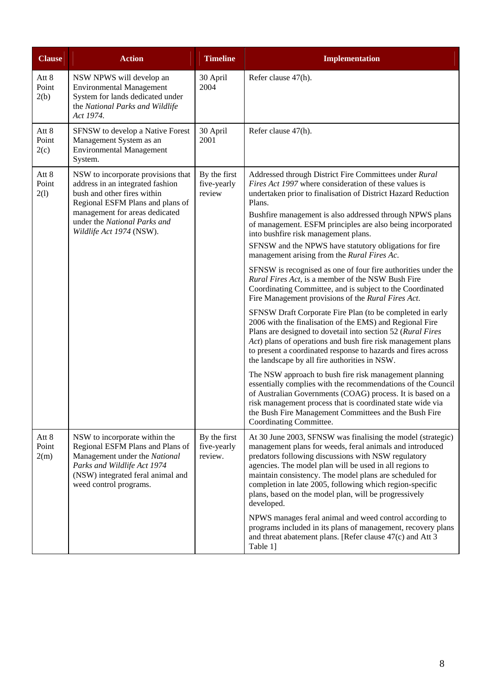| <b>Clause</b>          | <b>Action</b>                                                                                                                                                                                                                           | <b>Timeline</b>                        | <b>Implementation</b>                                                                                                                                                                                                                                                                                                                                                                                                                                                                                                                                                                                                                                                                                                                                                                                                                                                                                                                                                                                                                                                                                                                                                                                              |
|------------------------|-----------------------------------------------------------------------------------------------------------------------------------------------------------------------------------------------------------------------------------------|----------------------------------------|--------------------------------------------------------------------------------------------------------------------------------------------------------------------------------------------------------------------------------------------------------------------------------------------------------------------------------------------------------------------------------------------------------------------------------------------------------------------------------------------------------------------------------------------------------------------------------------------------------------------------------------------------------------------------------------------------------------------------------------------------------------------------------------------------------------------------------------------------------------------------------------------------------------------------------------------------------------------------------------------------------------------------------------------------------------------------------------------------------------------------------------------------------------------------------------------------------------------|
| Att 8<br>Point<br>2(b) | NSW NPWS will develop an<br><b>Environmental Management</b><br>System for lands dedicated under<br>the National Parks and Wildlife<br>Act 1974.                                                                                         | 30 April<br>2004                       | Refer clause 47(h).                                                                                                                                                                                                                                                                                                                                                                                                                                                                                                                                                                                                                                                                                                                                                                                                                                                                                                                                                                                                                                                                                                                                                                                                |
| Att 8<br>Point<br>2(c) | SFNSW to develop a Native Forest<br>Management System as an<br><b>Environmental Management</b><br>System.                                                                                                                               | 30 April<br>2001                       | Refer clause 47(h).                                                                                                                                                                                                                                                                                                                                                                                                                                                                                                                                                                                                                                                                                                                                                                                                                                                                                                                                                                                                                                                                                                                                                                                                |
| Att 8<br>Point<br>2(1) | NSW to incorporate provisions that<br>address in an integrated fashion<br>bush and other fires within<br>Regional ESFM Plans and plans of<br>management for areas dedicated<br>under the National Parks and<br>Wildlife Act 1974 (NSW). | By the first<br>five-yearly<br>review  | Addressed through District Fire Committees under Rural<br>Fires Act 1997 where consideration of these values is<br>undertaken prior to finalisation of District Hazard Reduction<br>Plans.<br>Bushfire management is also addressed through NPWS plans<br>of management. ESFM principles are also being incorporated<br>into bushfire risk management plans.<br>SFNSW and the NPWS have statutory obligations for fire<br>management arising from the Rural Fires Ac.<br>SFNSW is recognised as one of four fire authorities under the<br>Rural Fires Act, is a member of the NSW Bush Fire<br>Coordinating Committee, and is subject to the Coordinated<br>Fire Management provisions of the Rural Fires Act.<br>SFNSW Draft Corporate Fire Plan (to be completed in early<br>2006 with the finalisation of the EMS) and Regional Fire<br>Plans are designed to dovetail into section 52 (Rural Fires<br>Act) plans of operations and bush fire risk management plans<br>to present a coordinated response to hazards and fires across<br>the landscape by all fire authorities in NSW.<br>The NSW approach to bush fire risk management planning<br>essentially complies with the recommendations of the Council |
|                        |                                                                                                                                                                                                                                         |                                        | of Australian Governments (COAG) process. It is based on a<br>risk management process that is coordinated state wide via<br>the Bush Fire Management Committees and the Bush Fire<br>Coordinating Committee.                                                                                                                                                                                                                                                                                                                                                                                                                                                                                                                                                                                                                                                                                                                                                                                                                                                                                                                                                                                                       |
| Att 8<br>Point<br>2(m) | NSW to incorporate within the<br>Regional ESFM Plans and Plans of<br>Management under the National<br>Parks and Wildlife Act 1974<br>(NSW) integrated feral animal and<br>weed control programs.                                        | By the first<br>five-yearly<br>review. | At 30 June 2003, SFNSW was finalising the model (strategic)<br>management plans for weeds, feral animals and introduced<br>predators following discussions with NSW regulatory<br>agencies. The model plan will be used in all regions to<br>maintain consistency. The model plans are scheduled for<br>completion in late 2005, following which region-specific<br>plans, based on the model plan, will be progressively<br>developed.                                                                                                                                                                                                                                                                                                                                                                                                                                                                                                                                                                                                                                                                                                                                                                            |
|                        |                                                                                                                                                                                                                                         |                                        | NPWS manages feral animal and weed control according to<br>programs included in its plans of management, recovery plans<br>and threat abatement plans. [Refer clause 47(c) and Att 3<br>Table 1]                                                                                                                                                                                                                                                                                                                                                                                                                                                                                                                                                                                                                                                                                                                                                                                                                                                                                                                                                                                                                   |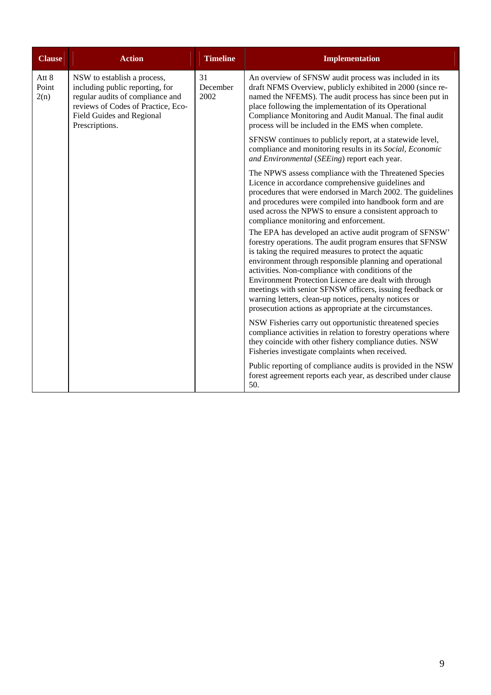| <b>Clause</b>          | <b>Action</b>                                                                                                                                                                           | <b>Timeline</b>        | <b>Implementation</b>                                                                                                                                                                                                                                                                                                                                                                                                                                                                                                                     |
|------------------------|-----------------------------------------------------------------------------------------------------------------------------------------------------------------------------------------|------------------------|-------------------------------------------------------------------------------------------------------------------------------------------------------------------------------------------------------------------------------------------------------------------------------------------------------------------------------------------------------------------------------------------------------------------------------------------------------------------------------------------------------------------------------------------|
| Att 8<br>Point<br>2(n) | NSW to establish a process,<br>including public reporting, for<br>regular audits of compliance and<br>reviews of Codes of Practice, Eco-<br>Field Guides and Regional<br>Prescriptions. | 31<br>December<br>2002 | An overview of SFNSW audit process was included in its<br>draft NFMS Overview, publicly exhibited in 2000 (since re-<br>named the NFEMS). The audit process has since been put in<br>place following the implementation of its Operational<br>Compliance Monitoring and Audit Manual. The final audit<br>process will be included in the EMS when complete.                                                                                                                                                                               |
|                        |                                                                                                                                                                                         |                        | SFNSW continues to publicly report, at a statewide level,<br>compliance and monitoring results in its Social, Economic<br>and Environmental (SEEing) report each year.                                                                                                                                                                                                                                                                                                                                                                    |
|                        |                                                                                                                                                                                         |                        | The NPWS assess compliance with the Threatened Species<br>Licence in accordance comprehensive guidelines and<br>procedures that were endorsed in March 2002. The guidelines<br>and procedures were compiled into handbook form and are<br>used across the NPWS to ensure a consistent approach to<br>compliance monitoring and enforcement.                                                                                                                                                                                               |
|                        |                                                                                                                                                                                         |                        | The EPA has developed an active audit program of SFNSW'<br>forestry operations. The audit program ensures that SFNSW<br>is taking the required measures to protect the aquatic<br>environment through responsible planning and operational<br>activities. Non-compliance with conditions of the<br>Environment Protection Licence are dealt with through<br>meetings with senior SFNSW officers, issuing feedback or<br>warning letters, clean-up notices, penalty notices or<br>prosecution actions as appropriate at the circumstances. |
|                        |                                                                                                                                                                                         |                        | NSW Fisheries carry out opportunistic threatened species<br>compliance activities in relation to forestry operations where<br>they coincide with other fishery compliance duties. NSW<br>Fisheries investigate complaints when received.                                                                                                                                                                                                                                                                                                  |
|                        |                                                                                                                                                                                         |                        | Public reporting of compliance audits is provided in the NSW<br>forest agreement reports each year, as described under clause<br>50.                                                                                                                                                                                                                                                                                                                                                                                                      |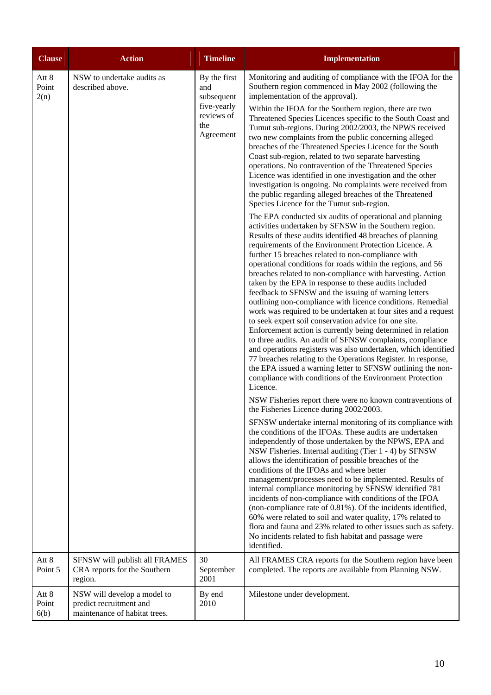| <b>Clause</b>          | <b>Action</b>                                                                           | <b>Timeline</b>                                                                    | <b>Implementation</b>                                                                                                                                                                                                                                                                                                                                                                                                                                                                                                                                                                                                                                                                                                                                                                                                                                                                                                                                                                                                                                                                                                                                                                                                                                                                                                                                                                                                                                                                                                                                                                                                                                                                                                                                                                                                                                                                                                                                                                                                                                                                                                                                                                                                                                                                                                                                                                                                                                                                                                                                                                                                                                                                                                                                                                                                                                                                      |
|------------------------|-----------------------------------------------------------------------------------------|------------------------------------------------------------------------------------|--------------------------------------------------------------------------------------------------------------------------------------------------------------------------------------------------------------------------------------------------------------------------------------------------------------------------------------------------------------------------------------------------------------------------------------------------------------------------------------------------------------------------------------------------------------------------------------------------------------------------------------------------------------------------------------------------------------------------------------------------------------------------------------------------------------------------------------------------------------------------------------------------------------------------------------------------------------------------------------------------------------------------------------------------------------------------------------------------------------------------------------------------------------------------------------------------------------------------------------------------------------------------------------------------------------------------------------------------------------------------------------------------------------------------------------------------------------------------------------------------------------------------------------------------------------------------------------------------------------------------------------------------------------------------------------------------------------------------------------------------------------------------------------------------------------------------------------------------------------------------------------------------------------------------------------------------------------------------------------------------------------------------------------------------------------------------------------------------------------------------------------------------------------------------------------------------------------------------------------------------------------------------------------------------------------------------------------------------------------------------------------------------------------------------------------------------------------------------------------------------------------------------------------------------------------------------------------------------------------------------------------------------------------------------------------------------------------------------------------------------------------------------------------------------------------------------------------------------------------------------------------------|
| Att 8<br>Point<br>2(n) | NSW to undertake audits as<br>described above.                                          | By the first<br>and<br>subsequent<br>five-yearly<br>reviews of<br>the<br>Agreement | Monitoring and auditing of compliance with the IFOA for the<br>Southern region commenced in May 2002 (following the<br>implementation of the approval).<br>Within the IFOA for the Southern region, there are two<br>Threatened Species Licences specific to the South Coast and<br>Tumut sub-regions. During 2002/2003, the NPWS received<br>two new complaints from the public concerning alleged<br>breaches of the Threatened Species Licence for the South<br>Coast sub-region, related to two separate harvesting<br>operations. No contravention of the Threatened Species<br>Licence was identified in one investigation and the other<br>investigation is ongoing. No complaints were received from<br>the public regarding alleged breaches of the Threatened<br>Species Licence for the Tumut sub-region.<br>The EPA conducted six audits of operational and planning<br>activities undertaken by SFNSW in the Southern region.<br>Results of these audits identified 48 breaches of planning<br>requirements of the Environment Protection Licence. A<br>further 15 breaches related to non-compliance with<br>operational conditions for roads within the regions, and 56<br>breaches related to non-compliance with harvesting. Action<br>taken by the EPA in response to these audits included<br>feedback to SFNSW and the issuing of warning letters<br>outlining non-compliance with licence conditions. Remedial<br>work was required to be undertaken at four sites and a request<br>to seek expert soil conservation advice for one site.<br>Enforcement action is currently being determined in relation<br>to three audits. An audit of SFNSW complaints, compliance<br>and operations registers was also undertaken, which identified<br>77 breaches relating to the Operations Register. In response,<br>the EPA issued a warning letter to SFNSW outlining the non-<br>compliance with conditions of the Environment Protection<br>Licence.<br>NSW Fisheries report there were no known contraventions of<br>the Fisheries Licence during 2002/2003.<br>SFNSW undertake internal monitoring of its compliance with<br>the conditions of the IFOAs. These audits are undertaken<br>independently of those undertaken by the NPWS, EPA and<br>NSW Fisheries. Internal auditing (Tier 1 - 4) by SFNSW<br>allows the identification of possible breaches of the<br>conditions of the IFOAs and where better<br>management/processes need to be implemented. Results of<br>internal compliance monitoring by SFNSW identified 781<br>incidents of non-compliance with conditions of the IFOA<br>(non-compliance rate of 0.81%). Of the incidents identified,<br>60% were related to soil and water quality, 17% related to<br>flora and fauna and 23% related to other issues such as safety.<br>No incidents related to fish habitat and passage were<br>identified. |
| Att 8<br>Point 5       | SFNSW will publish all FRAMES<br>CRA reports for the Southern<br>region.                | 30<br>September<br>2001                                                            | All FRAMES CRA reports for the Southern region have been<br>completed. The reports are available from Planning NSW.                                                                                                                                                                                                                                                                                                                                                                                                                                                                                                                                                                                                                                                                                                                                                                                                                                                                                                                                                                                                                                                                                                                                                                                                                                                                                                                                                                                                                                                                                                                                                                                                                                                                                                                                                                                                                                                                                                                                                                                                                                                                                                                                                                                                                                                                                                                                                                                                                                                                                                                                                                                                                                                                                                                                                                        |
| Att 8<br>Point<br>6(b) | NSW will develop a model to<br>predict recruitment and<br>maintenance of habitat trees. | By end<br>2010                                                                     | Milestone under development.                                                                                                                                                                                                                                                                                                                                                                                                                                                                                                                                                                                                                                                                                                                                                                                                                                                                                                                                                                                                                                                                                                                                                                                                                                                                                                                                                                                                                                                                                                                                                                                                                                                                                                                                                                                                                                                                                                                                                                                                                                                                                                                                                                                                                                                                                                                                                                                                                                                                                                                                                                                                                                                                                                                                                                                                                                                               |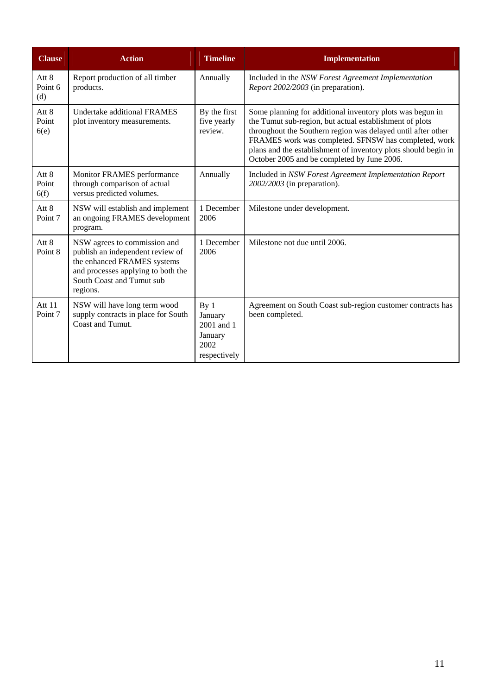| <b>Clause</b>               | <b>Action</b>                                                                                                                                                                  | <b>Timeline</b>                                                             | <b>Implementation</b>                                                                                                                                                                                                                                                                                                                                         |
|-----------------------------|--------------------------------------------------------------------------------------------------------------------------------------------------------------------------------|-----------------------------------------------------------------------------|---------------------------------------------------------------------------------------------------------------------------------------------------------------------------------------------------------------------------------------------------------------------------------------------------------------------------------------------------------------|
| Att 8<br>Point 6<br>(d)     | Report production of all timber<br>products.                                                                                                                                   | Annually                                                                    | Included in the NSW Forest Agreement Implementation<br>Report 2002/2003 (in preparation).                                                                                                                                                                                                                                                                     |
| Att 8<br>Point<br>6(e)      | Undertake additional FRAMES<br>plot inventory measurements.                                                                                                                    | By the first<br>five yearly<br>review.                                      | Some planning for additional inventory plots was begun in<br>the Tumut sub-region, but actual establishment of plots<br>throughout the Southern region was delayed until after other<br>FRAMES work was completed. SFNSW has completed, work<br>plans and the establishment of inventory plots should begin in<br>October 2005 and be completed by June 2006. |
| Att 8<br>Point<br>6(f)      | Monitor FRAMES performance<br>through comparison of actual<br>versus predicted volumes.                                                                                        | Annually                                                                    | Included in NSW Forest Agreement Implementation Report<br>2002/2003 (in preparation).                                                                                                                                                                                                                                                                         |
| Att 8<br>Point <sub>7</sub> | NSW will establish and implement<br>an ongoing FRAMES development<br>program.                                                                                                  | 1 December<br>2006                                                          | Milestone under development.                                                                                                                                                                                                                                                                                                                                  |
| Att 8<br>Point 8            | NSW agrees to commission and<br>publish an independent review of<br>the enhanced FRAMES systems<br>and processes applying to both the<br>South Coast and Tumut sub<br>regions. | 1 December<br>2006                                                          | Milestone not due until 2006.                                                                                                                                                                                                                                                                                                                                 |
| Att 11<br>Point 7           | NSW will have long term wood<br>supply contracts in place for South<br>Coast and Tumut.                                                                                        | By <sub>1</sub><br>January<br>2001 and 1<br>January<br>2002<br>respectively | Agreement on South Coast sub-region customer contracts has<br>been completed.                                                                                                                                                                                                                                                                                 |